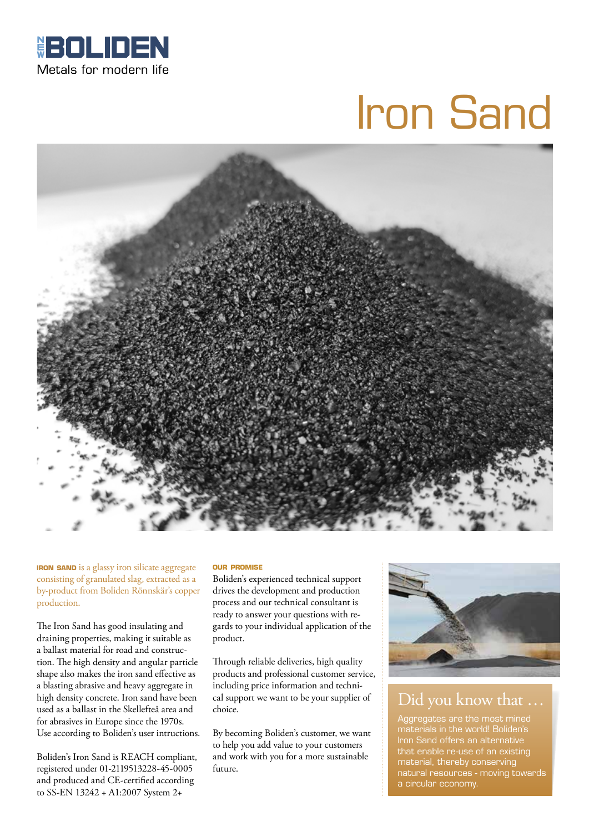

# Iron Sand



**IRON SAND** is a glassy iron silicate aggregate consisting of granulated slag, extracted as a by-product from Boliden Rönnskär's copper production.

The Iron Sand has good insulating and draining properties, making it suitable as a ballast material for road and construction. The high density and angular particle shape also makes the iron sand effective as a blasting abrasive and heavy aggregate in high density concrete. Iron sand have been used as a ballast in the Skellefteå area and for abrasives in Europe since the 1970s. Use according to Boliden's user intructions.

Boliden's Iron Sand is REACH compliant, registered under 01-2119513228-45-0005 and produced and CE-certified according to SS-EN 13242 + A1:2007 System 2+

#### **our promise**

Boliden's experienced technical support drives the development and production process and our technical consultant is ready to answer your questions with regards to your individual application of the product.

Through reliable deliveries, high quality products and professional customer service, including price information and technical support we want to be your supplier of choice.

By becoming Boliden's customer, we want to help you add value to your customers and work with you for a more sustainable future.



## Did you know that …

Aggregates are the most mined materials in the world! Boliden's Iron Sand offers an alternative that enable re-use of an existing material, thereby conserving natural resources - moving towards a circular economy.